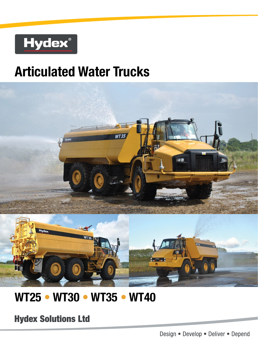

# **Articulated Water Trucks**



## **WT25 • WT30 • WT35 • WT40**

**Hydex Solutions Ltd**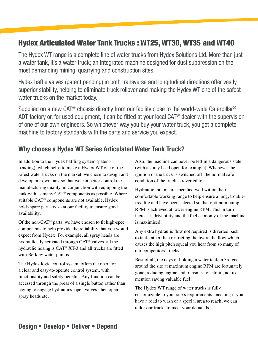## Hydex Articulated Water Tank Trucks : WT25, WT30, WT35 and WT40

The Hydex WT range is a complete line of water trucks from Hydex Solutions Ltd. More than just a water tank, it's a water truck; an integrated machine designed for dust suppression on the most demanding mining, quarrying and construction sites.

Hydex baffle valves (patent pending) in both transverse and longitudinal directions offer vastly superior stability, helping to eliminate truck rollover and making the Hydex WT one of the safest water trucks on the market today.

Supplied on a new CAT<sup>®</sup> chassis directly from our facility close to the world-wide Caterpillar<sup>®</sup> ADT factory or, for used equipment, it can be fitted at your local CAT<sup>®</sup> dealer with the supervision of one of our own engineers. So whichever way you buy your water truck, you get a complete machine to factory standards with the parts and service you expect.

## Why choose a Hydex WT Series Articulated Water Tank Truck?

In addition to the Hydex baffling system (patentpending), which helps to make a Hydex WT one of the safest water trucks on the market, we chose to design and develop our own tank so that we can better control the manufacturing quality, in conjunction with equipping the tank with as many CAT® components as possible. Where suitable CAT® components are not available, Hydex holds spare part stocks at our facility to ensure good availability.

Of the non- $CAT^{\circledast}$  parts, we have chosen to fit high-spec components to help provide the reliability that you would expect from Hydex. For example, all spray heads are hydraulically activated through CAT® valves, all the hydraulic hosing is CAT® XT-3 and all trucks are fitted with Berkley water pumps.

The Hydex logic control system offers the operator a clear and easy-to-operate control system, with functionality and safety benefits. Any function can be accessed through the press of a single button rather than having to engage hydraulics, open valves, then open spray heads etc.

Also, the machine can never be left in a dangerous state (with a spray head open for example). Whenever the ignition of the truck is switched off, the normal safe condition of the truck is reverted to.

Hydraulic motors are specified well within their comfortable working range to help ensure a long, troublefree life and have been selected so that optimum pump RPM is achieved at lower engine RPM. This in turn increases drivability and the fuel economy of the machine is maximised.

Any extra hydraulic flow not required is diverted back to tank rather than restricting the hydraulic flow which causes the high pitch squeal you hear from so many of our competitors' trucks.

Best of all, the days of holding a water tank in 3rd gear around the site at maximum engine RPM are fortunately gone, reducing engine and transmission strain, not to mention saving valuable fuel!

The Hydex WT range of water trucks is fully customizable to your site's requirements, meaning if you have a road to wash or a special area to reach, we can tailor our trucks to meet your demands.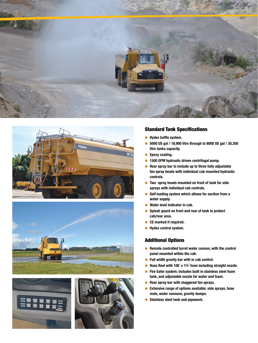







#### Standard Tank Specifications

- Hydex baffle system.
- 5000 US gal / 18,900 litre through to 8000 US gal / 30,300 litre tanks capacity.
- Epoxy coating.
- 1500 GPM hydraulic driven centrifugal pump.
- Rear spray bar to include up to three fully adjustable fan spray heads with individual cab mounted hydraulic controls.
- Two spray heads mounted on front of tank for side sprays with individual cab controls.
- Self loading system which allows for suction from a water supply.
- Water level indicator in cab.
- Splash guard on front and rear of tank to protect cab/rear area.
- CE marked if required.
- Hydex control system.

#### Additional Options

- Remote controlled turret water cannon, with the control panel mounted within the cab.
- Full width gravity bar with in cab control.
- Hose Reel with 100' x 1½" hose including straight nozzle.
- Fire Eater system; includes built in stainless steel foam tank, and adjustable nozzle for water and foam.
- Rear spray bar with staggered fan sprays.
- Extensive range of options available: side sprays, hose reels, water cannons, gravity dumps.
- Stainless steel tank and pipework.